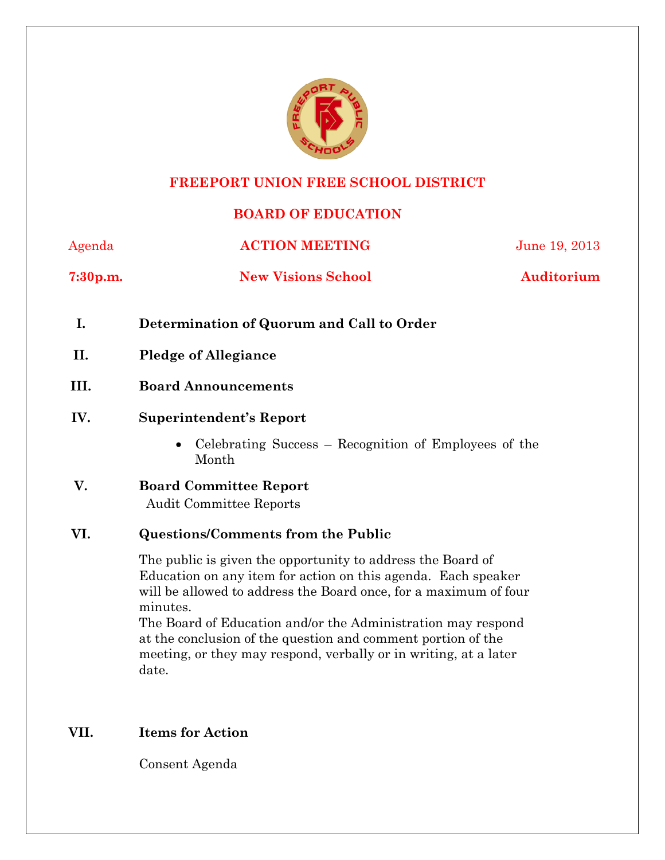

### **FREEPORT UNION FREE SCHOOL DISTRICT**

# **BOARD OF EDUCATION**

| Agenda               | <b>ACTION MEETING</b>     | June 19, 2013 |  |
|----------------------|---------------------------|---------------|--|
| 7:30 <sub>p.m.</sub> | <b>New Visions School</b> | Auditorium    |  |

- **I. Determination of Quorum and Call to Order**
- **II. Pledge of Allegiance**
- **III. Board Announcements**
- **IV. Superintendent's Report** 
	- Celebrating Success Recognition of Employees of the Month
- **V. Board Committee Report**  Audit Committee Reports

### **VI. Questions/Comments from the Public**

The public is given the opportunity to address the Board of Education on any item for action on this agenda. Each speaker will be allowed to address the Board once, for a maximum of four minutes.

The Board of Education and/or the Administration may respond at the conclusion of the question and comment portion of the meeting, or they may respond, verbally or in writing, at a later date.

### **VII. Items for Action**

Consent Agenda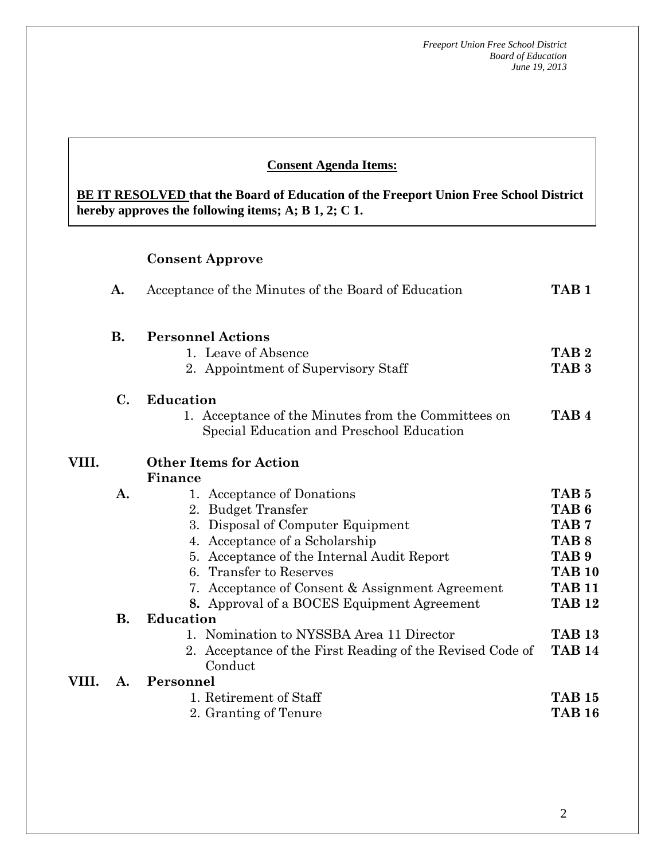#### **Consent Agenda Items:**

**BE IT RESOLVED that the Board of Education of the Freeport Union Free School District hereby approves the following items; A; B 1, 2; C 1.** 

# **Consent Approve**

 *Acceptance of the Minutes*  $\mathbf{A}$ 

 **AA. Consent - Approve** 

|       | A.             | Acceptance of the Minutes of the Board of Education                                                                                                                                                                                                                                                                      |                                                                                                                                                     |
|-------|----------------|--------------------------------------------------------------------------------------------------------------------------------------------------------------------------------------------------------------------------------------------------------------------------------------------------------------------------|-----------------------------------------------------------------------------------------------------------------------------------------------------|
|       | <b>B.</b>      | <b>Personnel Actions</b><br>1. Leave of Absence<br>2. Appointment of Supervisory Staff                                                                                                                                                                                                                                   | TAB <sub>2</sub><br>TAB <sub>3</sub>                                                                                                                |
|       | $\mathbf{C}$ . | <b>Education</b><br>1. Acceptance of the Minutes from the Committees on<br>Special Education and Preschool Education                                                                                                                                                                                                     | TAB <sub>4</sub>                                                                                                                                    |
| VIII. |                | <b>Other Items for Action</b>                                                                                                                                                                                                                                                                                            |                                                                                                                                                     |
|       | A.             | Finance<br>1. Acceptance of Donations<br>2. Budget Transfer<br>Disposal of Computer Equipment<br>3.<br>4. Acceptance of a Scholarship<br>5. Acceptance of the Internal Audit Report<br><b>Transfer to Reserves</b><br>6<br>7. Acceptance of Consent & Assignment Agreement<br>8. Approval of a BOCES Equipment Agreement | TAB <sub>5</sub><br>TAB <sub>6</sub><br>TAB <sub>7</sub><br>TAB <sub>8</sub><br>TAB <sub>9</sub><br><b>TAB 10</b><br><b>TAB 11</b><br><b>TAB 12</b> |
|       | <b>B.</b>      | <b>Education</b><br>1. Nomination to NYSSBA Area 11 Director                                                                                                                                                                                                                                                             | <b>TAB 13</b>                                                                                                                                       |
|       |                | 2. Acceptance of the First Reading of the Revised Code of<br>Conduct                                                                                                                                                                                                                                                     | <b>TAB 14</b>                                                                                                                                       |
| VIII. | A.             | Personnel                                                                                                                                                                                                                                                                                                                |                                                                                                                                                     |
|       |                | 1. Retirement of Staff<br>2. Granting of Tenure                                                                                                                                                                                                                                                                          | <b>TAB 15</b><br><b>TAB 16</b>                                                                                                                      |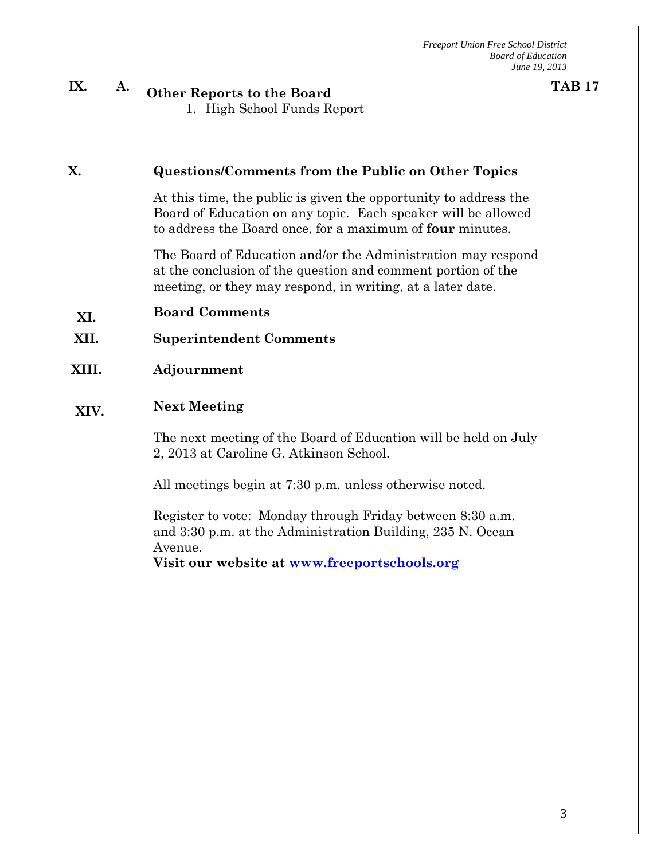**TAB 17**

# **IX. A. Other Reports to the Board**

1. High School Funds Report

#### **X. Questions/Comments from the Public on Other Topics**

At this time, the public is given the opportunity to address the Board of Education on any topic. Each speaker will be allowed to address the Board once, for a maximum of **four** minutes.

The Board of Education and/or the Administration may respond at the conclusion of the question and comment portion of the meeting, or they may respond, in writing, at a later date.

- **XI. Board Comments**
- **XII. Superintendent Comments**
- **XIII. Adjournment**

# **XIV. Next Meeting**

The next meeting of the Board of Education will be held on July 2, 2013 at Caroline G. Atkinson School.

All meetings begin at 7:30 p.m. unless otherwise noted.

Register to vote: Monday through Friday between 8:30 a.m. and 3:30 p.m. at the Administration Building, 235 N. Ocean Avenue.

**Visit our website at www.freeportschools.org**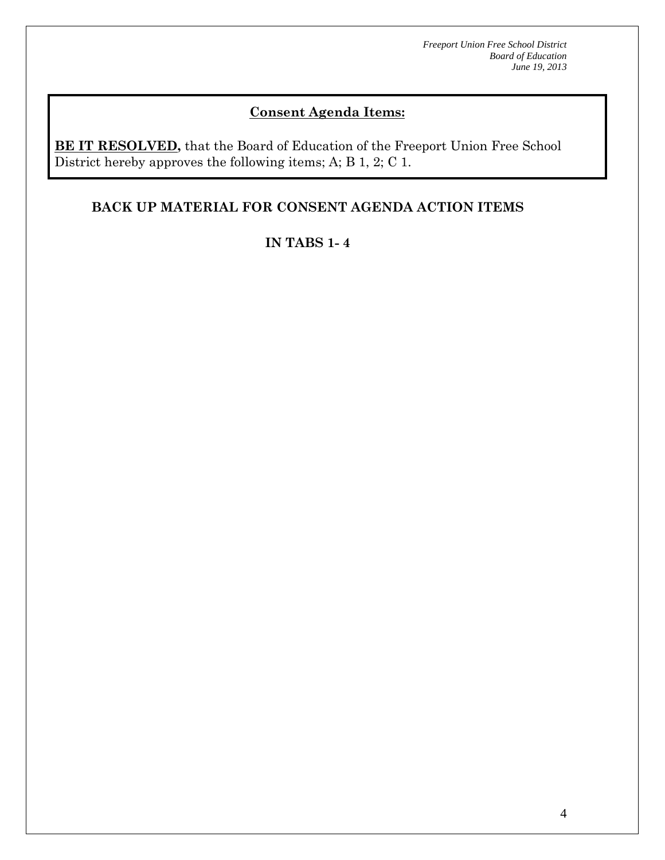# **Consent Agenda Items:**

**BE IT RESOLVED,** that the Board of Education of the Freeport Union Free School District hereby approves the following items; A; B 1, 2; C 1.

# **BACK UP MATERIAL FOR CONSENT AGENDA ACTION ITEMS**

# **IN TABS 1- 4**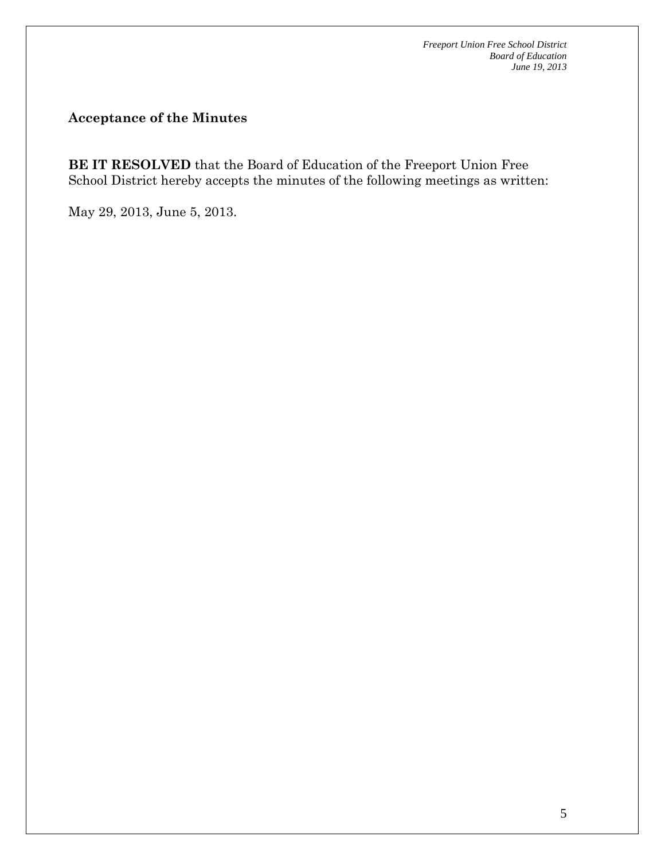# **Acceptance of the Minutes**

**BE IT RESOLVED** that the Board of Education of the Freeport Union Free School District hereby accepts the minutes of the following meetings as written:

May 29, 2013, June 5, 2013.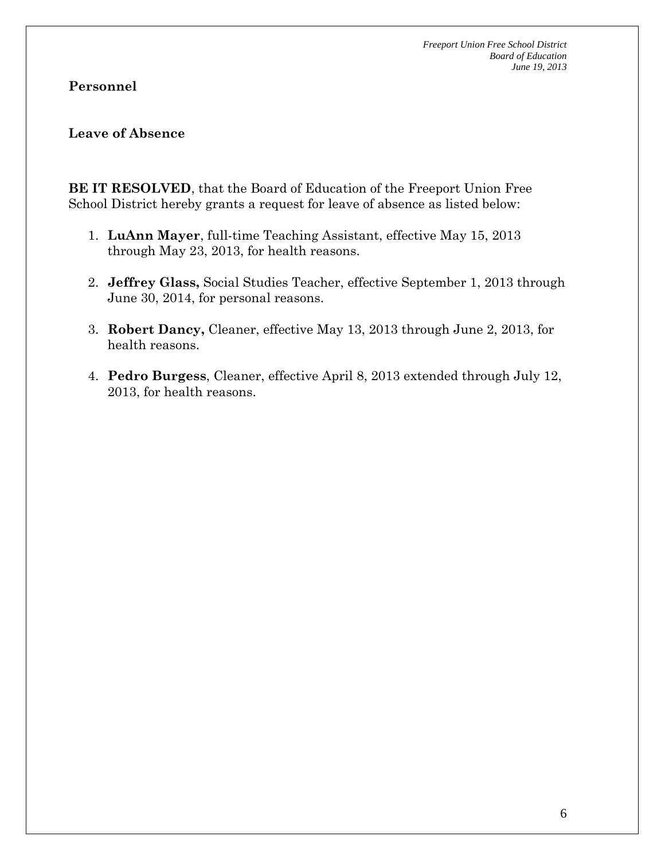### **Personnel**

### **Leave of Absence**

**BE IT RESOLVED**, that the Board of Education of the Freeport Union Free School District hereby grants a request for leave of absence as listed below:

- 1. **LuAnn Mayer**, full-time Teaching Assistant, effective May 15, 2013 through May 23, 2013, for health reasons.
- 2. **Jeffrey Glass,** Social Studies Teacher, effective September 1, 2013 through June 30, 2014, for personal reasons.
- 3. **Robert Dancy,** Cleaner, effective May 13, 2013 through June 2, 2013, for health reasons.
- 4. **Pedro Burgess**, Cleaner, effective April 8, 2013 extended through July 12, 2013, for health reasons.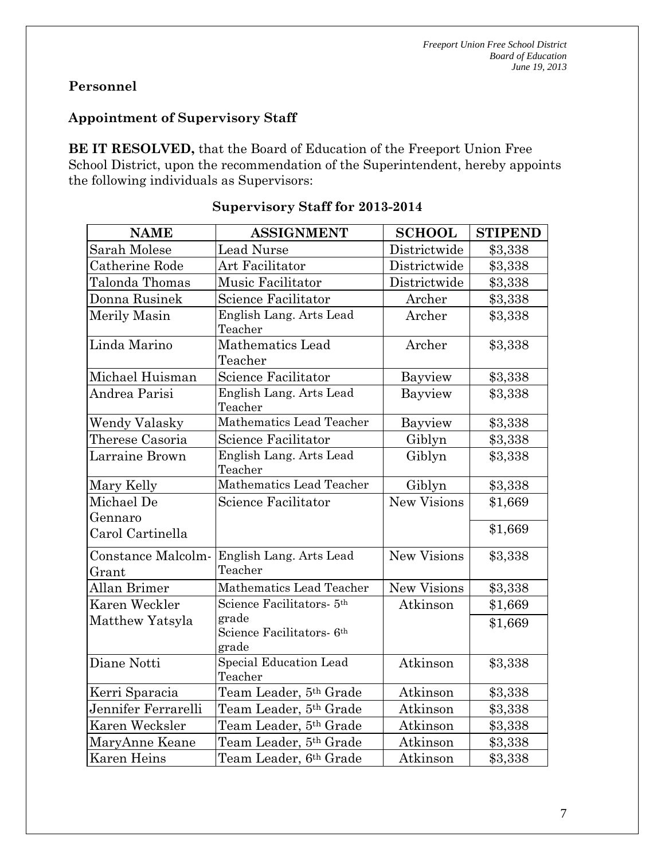# **Personnel**

# **Appointment of Supervisory Staff**

**BE IT RESOLVED,** that the Board of Education of the Freeport Union Free School District, upon the recommendation of the Superintendent, hereby appoints the following individuals as Supervisors:

| <b>NAME</b>                 | <b>ASSIGNMENT</b>                                       | <b>SCHOOL</b>      | <b>STIPEND</b> |
|-----------------------------|---------------------------------------------------------|--------------------|----------------|
| Sarah Molese                | <b>Lead Nurse</b>                                       | Districtwide       | \$3,338        |
| Catherine Rode              | Art Facilitator                                         | Districtwide       | \$3,338        |
| Talonda Thomas              | Music Facilitator                                       | Districtwide       | \$3,338        |
| Donna Rusinek               | Science Facilitator                                     | Archer             | \$3,338        |
| Merily Masin                | English Lang. Arts Lead<br>Teacher                      | Archer             | \$3,338        |
| Linda Marino                | <b>Mathematics Lead</b><br>Teacher                      | Archer             | \$3,338        |
| Michael Huisman             | Science Facilitator                                     | Bayview            | \$3,338        |
| Andrea Parisi               | English Lang. Arts Lead<br>Teacher                      | Bayview            | \$3,338        |
| <b>Wendy Valasky</b>        | Mathematics Lead Teacher                                | Bayview            | \$3,338        |
| Therese Casoria             | Science Facilitator                                     | Giblyn             | \$3,338        |
| Larraine Brown              | English Lang. Arts Lead<br>Teacher                      | Giblyn             | \$3,338        |
| Mary Kelly                  | Mathematics Lead Teacher                                | Giblyn             | \$3,338        |
| Michael De<br>Gennaro       | Science Facilitator                                     | <b>New Visions</b> | \$1,669        |
| Carol Cartinella            |                                                         |                    | \$1,669        |
| Constance Malcolm-<br>Grant | English Lang. Arts Lead<br>Teacher                      | New Visions        | \$3,338        |
| Allan Brimer                | Mathematics Lead Teacher                                | New Visions        | \$3,338        |
| Karen Weckler               | Science Facilitators- 5 <sup>th</sup>                   | Atkinson           | \$1,669        |
| Matthew Yatsyla             | grade<br>Science Facilitators- 6 <sup>th</sup><br>grade |                    | \$1,669        |
| Diane Notti                 | Special Education Lead<br>Teacher                       | Atkinson           | \$3,338        |
| Kerri Sparacia              | Team Leader, 5th Grade                                  | Atkinson           | \$3,338        |
| Jennifer Ferrarelli         | Team Leader, 5th Grade                                  | Atkinson           | \$3,338        |
| Karen Wecksler              | Team Leader, 5th Grade                                  | Atkinson           | \$3,338        |
| MaryAnne Keane              | Team Leader, 5th Grade                                  | Atkinson           | \$3,338        |
| Karen Heins                 | Team Leader, 6th Grade                                  | Atkinson           | \$3,338        |

# **Supervisory Staff for 2013-2014**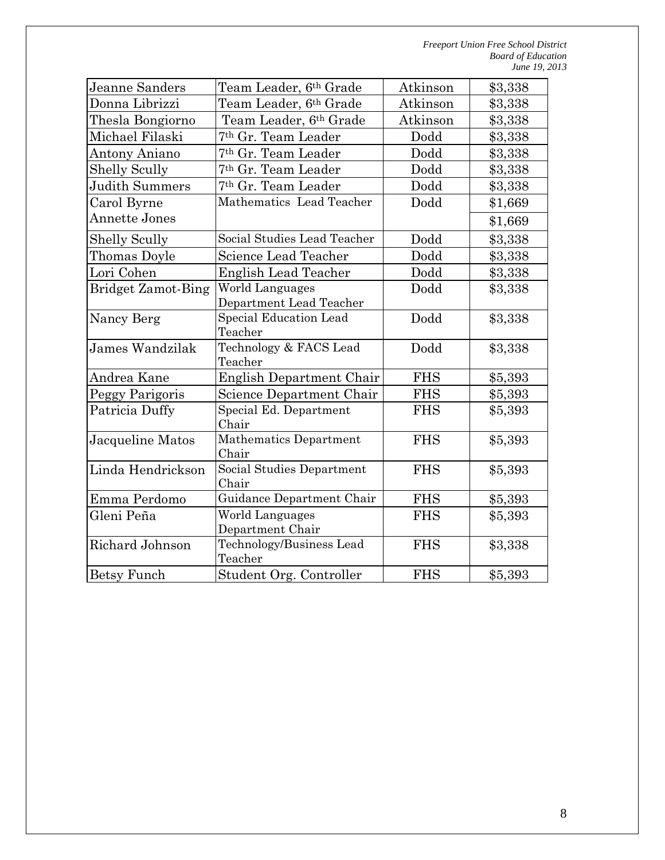| Jeanne Sanders            | Team Leader, 6th Grade                     | Atkinson   | \$3,338 |
|---------------------------|--------------------------------------------|------------|---------|
| Donna Librizzi            | Team Leader, 6th Grade                     | Atkinson   | \$3,338 |
| Thesla Bongiorno          | Team Leader, 6th Grade                     | Atkinson   | \$3,338 |
| Michael Filaski           | 7th Gr. Team Leader                        | Dodd       | \$3,338 |
| Antony Aniano             | 7 <sup>th</sup> Gr. Team Leader            | Dodd       | \$3,338 |
| <b>Shelly Scully</b>      | 7th Gr. Team Leader                        | Dodd       | \$3,338 |
| Judith Summers            | 7 <sup>th</sup> Gr. Team Leader            | Dodd       | \$3,338 |
| Carol Byrne               | Mathematics Lead Teacher                   | Dodd       | \$1,669 |
| Annette Jones             |                                            |            | \$1,669 |
| <b>Shelly Scully</b>      | Social Studies Lead Teacher                | Dodd       | \$3,338 |
| Thomas Doyle              | Science Lead Teacher                       | Dodd       | \$3,338 |
| Lori Cohen                | <b>English Lead Teacher</b>                | Dodd       | \$3,338 |
| <b>Bridget Zamot-Bing</b> | World Languages<br>Department Lead Teacher | Dodd       | \$3,338 |
| Nancy Berg                | Special Education Lead<br>Teacher          | Dodd       | \$3,338 |
| James Wandzilak           | Technology & FACS Lead<br>Teacher          | Dodd       | \$3,338 |
| Andrea Kane               | English Department Chair                   | <b>FHS</b> | \$5,393 |
| Peggy Parigoris           | Science Department Chair                   | <b>FHS</b> | \$5,393 |
| Patricia Duffy            | Special Ed. Department<br>Chair            | <b>FHS</b> | \$5,393 |
| Jacqueline Matos          | Mathematics Department<br>Chair            | <b>FHS</b> | \$5,393 |
| Linda Hendrickson         | Social Studies Department<br>Chair         | <b>FHS</b> | \$5,393 |
| Emma Perdomo              | Guidance Department Chair                  | <b>FHS</b> | \$5,393 |
| Gleni Peña                | World Languages<br>Department Chair        | <b>FHS</b> | \$5,393 |
| Richard Johnson           | Technology/Business Lead<br>Teacher        | <b>FHS</b> | \$3,338 |
| <b>Betsy Funch</b>        | Student Org. Controller                    | <b>FHS</b> | \$5,393 |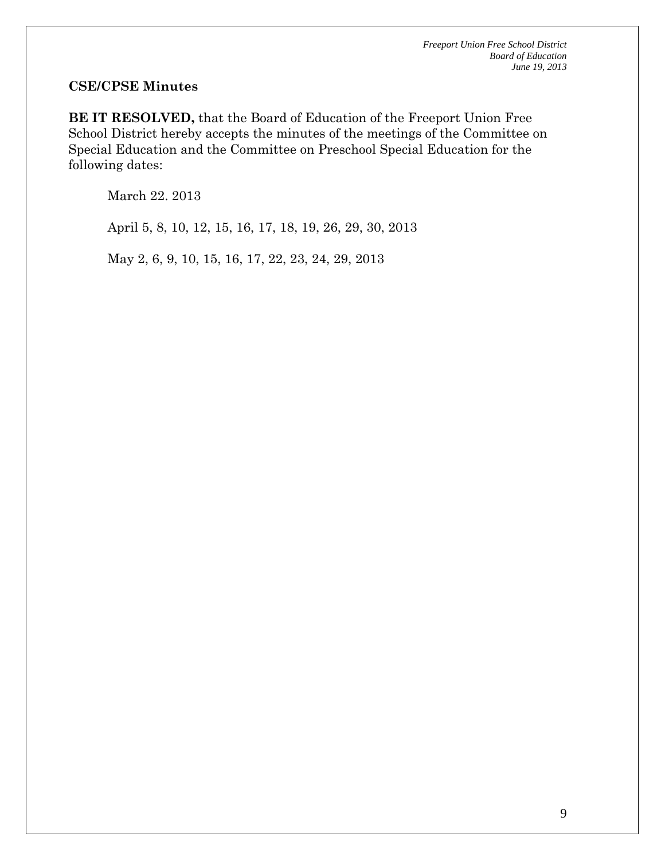#### **CSE/CPSE Minutes**

**BE IT RESOLVED,** that the Board of Education of the Freeport Union Free School District hereby accepts the minutes of the meetings of the Committee on Special Education and the Committee on Preschool Special Education for the following dates:

March 22. 2013

April 5, 8, 10, 12, 15, 16, 17, 18, 19, 26, 29, 30, 2013

May 2, 6, 9, 10, 15, 16, 17, 22, 23, 24, 29, 2013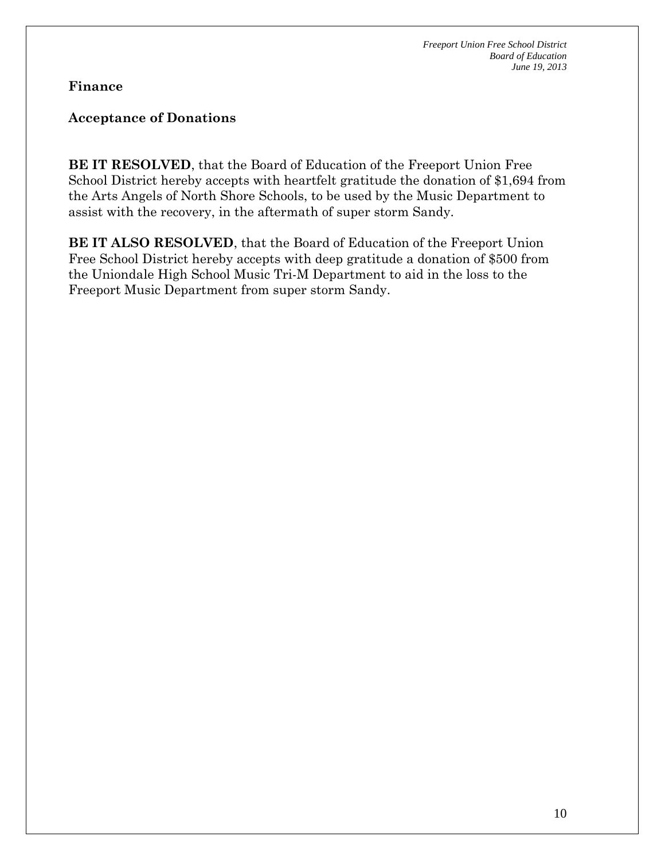**Finance** 

### **Acceptance of Donations**

**BE IT RESOLVED**, that the Board of Education of the Freeport Union Free School District hereby accepts with heartfelt gratitude the donation of \$1,694 from the Arts Angels of North Shore Schools, to be used by the Music Department to assist with the recovery, in the aftermath of super storm Sandy.

**BE IT ALSO RESOLVED**, that the Board of Education of the Freeport Union Free School District hereby accepts with deep gratitude a donation of \$500 from the Uniondale High School Music Tri-M Department to aid in the loss to the Freeport Music Department from super storm Sandy.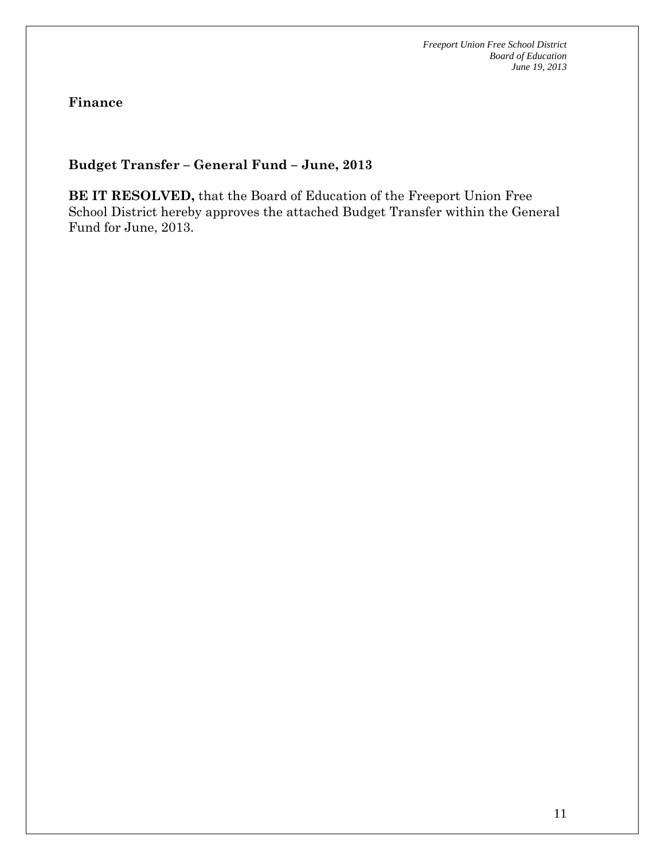**Finance** 

# **Budget Transfer – General Fund – June, 2013**

**BE IT RESOLVED,** that the Board of Education of the Freeport Union Free School District hereby approves the attached Budget Transfer within the General Fund for June, 2013.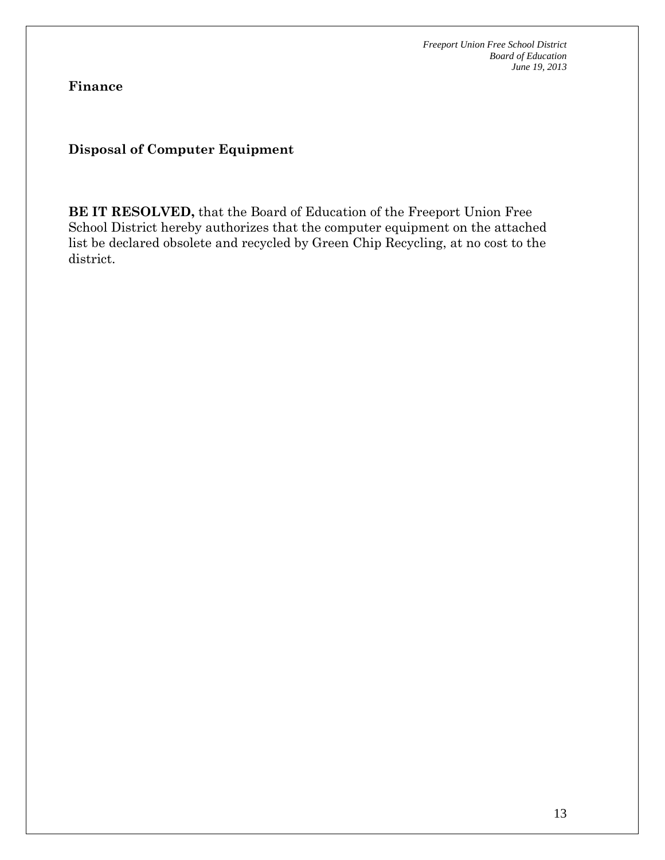**Finance** 

**Disposal of Computer Equipment** 

**BE IT RESOLVED,** that the Board of Education of the Freeport Union Free School District hereby authorizes that the computer equipment on the attached list be declared obsolete and recycled by Green Chip Recycling, at no cost to the district.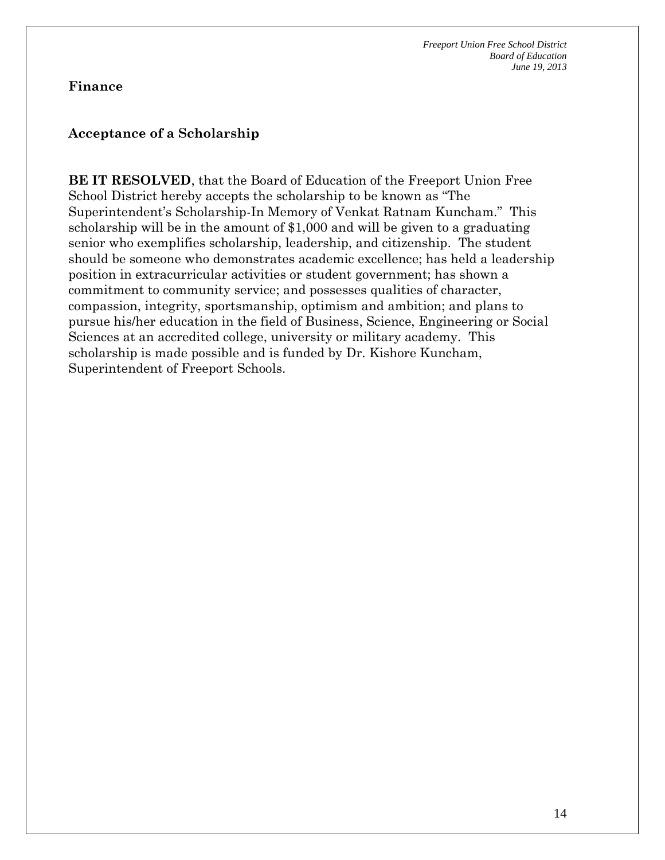#### **Finance**

#### **Acceptance of a Scholarship**

**BE IT RESOLVED**, that the Board of Education of the Freeport Union Free School District hereby accepts the scholarship to be known as "The Superintendent's Scholarship-In Memory of Venkat Ratnam Kuncham." This scholarship will be in the amount of \$1,000 and will be given to a graduating senior who exemplifies scholarship, leadership, and citizenship. The student should be someone who demonstrates academic excellence; has held a leadership position in extracurricular activities or student government; has shown a commitment to community service; and possesses qualities of character, compassion, integrity, sportsmanship, optimism and ambition; and plans to pursue his/her education in the field of Business, Science, Engineering or Social Sciences at an accredited college, university or military academy. This scholarship is made possible and is funded by Dr. Kishore Kuncham, Superintendent of Freeport Schools.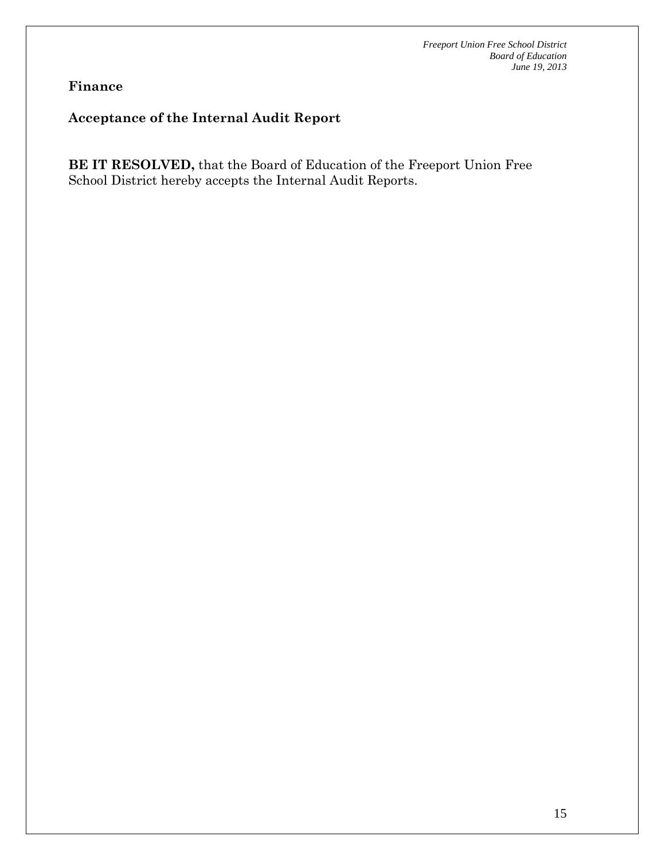**Finance** 

# **Acceptance of the Internal Audit Report**

**BE IT RESOLVED,** that the Board of Education of the Freeport Union Free School District hereby accepts the Internal Audit Reports.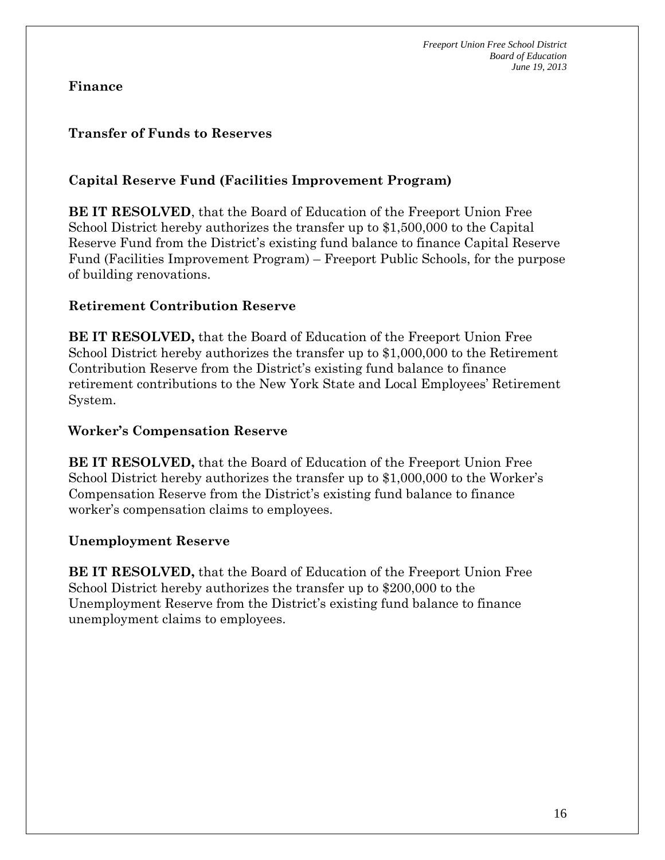**Finance** 

# **Transfer of Funds to Reserves**

# **Capital Reserve Fund (Facilities Improvement Program)**

**BE IT RESOLVED**, that the Board of Education of the Freeport Union Free School District hereby authorizes the transfer up to \$1,500,000 to the Capital Reserve Fund from the District's existing fund balance to finance Capital Reserve Fund (Facilities Improvement Program) – Freeport Public Schools, for the purpose of building renovations.

#### **Retirement Contribution Reserve**

**BE IT RESOLVED,** that the Board of Education of the Freeport Union Free School District hereby authorizes the transfer up to \$1,000,000 to the Retirement Contribution Reserve from the District's existing fund balance to finance retirement contributions to the New York State and Local Employees' Retirement System.

#### **Worker's Compensation Reserve**

**BE IT RESOLVED,** that the Board of Education of the Freeport Union Free School District hereby authorizes the transfer up to \$1,000,000 to the Worker's Compensation Reserve from the District's existing fund balance to finance worker's compensation claims to employees.

### **Unemployment Reserve**

**BE IT RESOLVED,** that the Board of Education of the Freeport Union Free School District hereby authorizes the transfer up to \$200,000 to the Unemployment Reserve from the District's existing fund balance to finance unemployment claims to employees.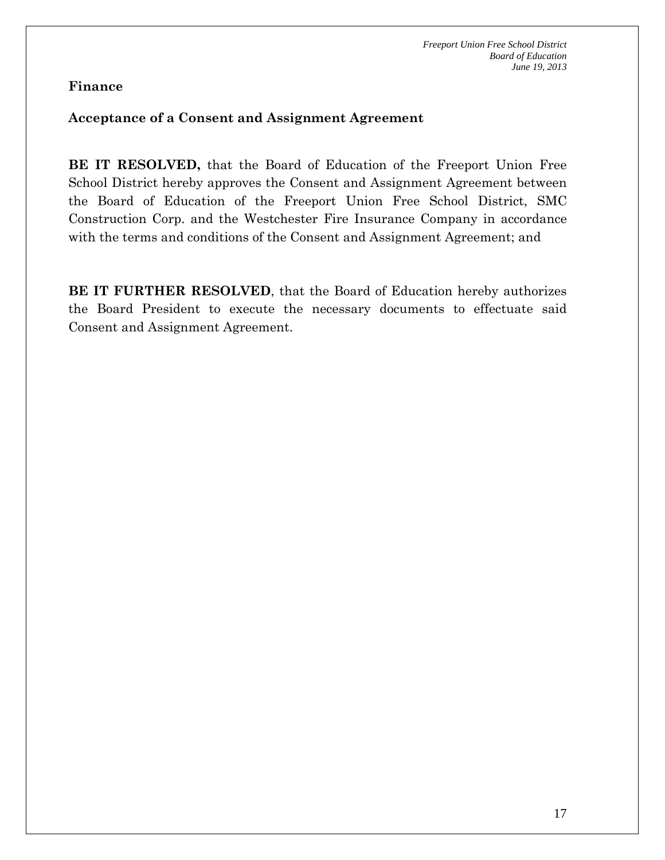### **Finance**

#### **Acceptance of a Consent and Assignment Agreement**

**BE IT RESOLVED,** that the Board of Education of the Freeport Union Free School District hereby approves the Consent and Assignment Agreement between the Board of Education of the Freeport Union Free School District, SMC Construction Corp. and the Westchester Fire Insurance Company in accordance with the terms and conditions of the Consent and Assignment Agreement; and

**BE IT FURTHER RESOLVED**, that the Board of Education hereby authorizes the Board President to execute the necessary documents to effectuate said Consent and Assignment Agreement.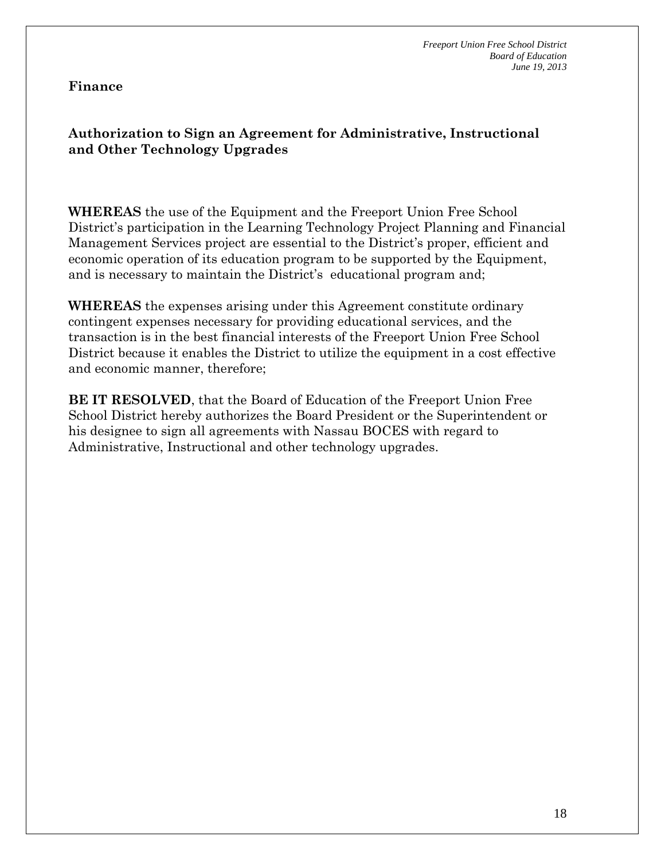### **Finance**

# **Authorization to Sign an Agreement for Administrative, Instructional and Other Technology Upgrades**

**WHEREAS** the use of the Equipment and the Freeport Union Free School District's participation in the Learning Technology Project Planning and Financial Management Services project are essential to the District's proper, efficient and economic operation of its education program to be supported by the Equipment, and is necessary to maintain the District's educational program and;

**WHEREAS** the expenses arising under this Agreement constitute ordinary contingent expenses necessary for providing educational services, and the transaction is in the best financial interests of the Freeport Union Free School District because it enables the District to utilize the equipment in a cost effective and economic manner, therefore;

**BE IT RESOLVED**, that the Board of Education of the Freeport Union Free School District hereby authorizes the Board President or the Superintendent or his designee to sign all agreements with Nassau BOCES with regard to Administrative, Instructional and other technology upgrades.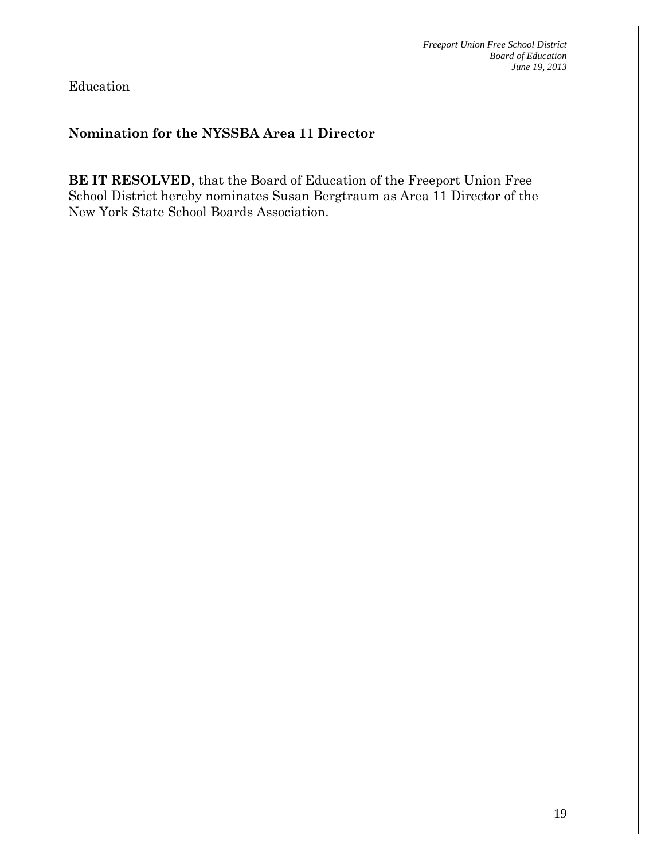Education

# **Nomination for the NYSSBA Area 11 Director**

**BE IT RESOLVED**, that the Board of Education of the Freeport Union Free School District hereby nominates Susan Bergtraum as Area 11 Director of the New York State School Boards Association.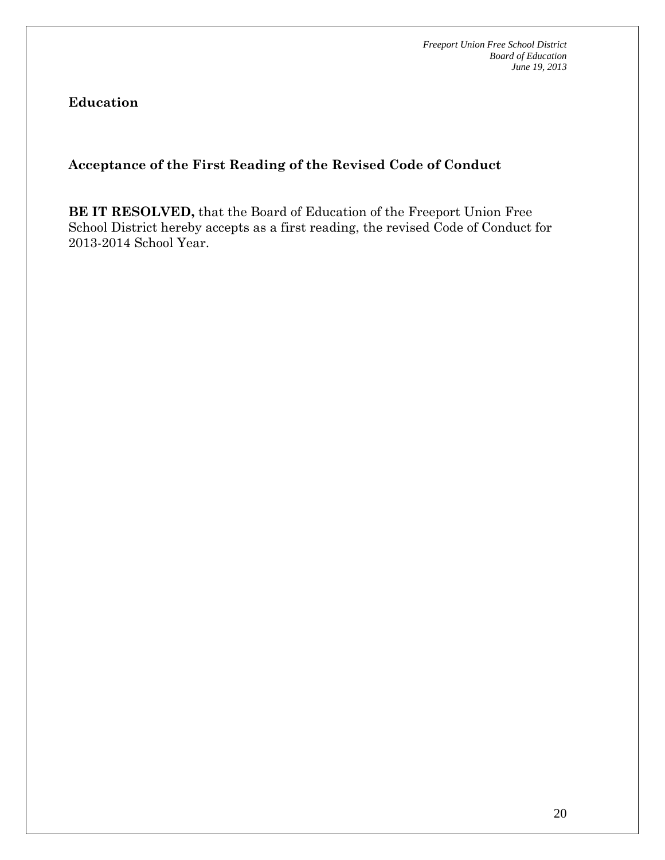**Education** 

# **Acceptance of the First Reading of the Revised Code of Conduct**

**BE IT RESOLVED,** that the Board of Education of the Freeport Union Free School District hereby accepts as a first reading, the revised Code of Conduct for 2013-2014 School Year.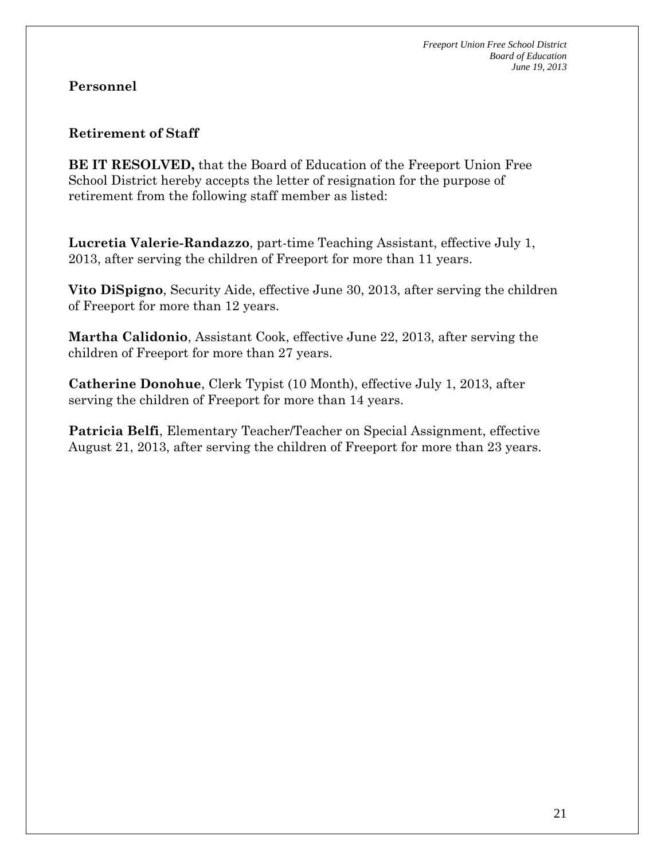# **Personnel**

### **Retirement of Staff**

**BE IT RESOLVED,** that the Board of Education of the Freeport Union Free School District hereby accepts the letter of resignation for the purpose of retirement from the following staff member as listed:

**Lucretia Valerie-Randazzo**, part-time Teaching Assistant, effective July 1, 2013, after serving the children of Freeport for more than 11 years.

**Vito DiSpigno**, Security Aide, effective June 30, 2013, after serving the children of Freeport for more than 12 years.

**Martha Calidonio**, Assistant Cook, effective June 22, 2013, after serving the children of Freeport for more than 27 years.

**Catherine Donohue**, Clerk Typist (10 Month), effective July 1, 2013, after serving the children of Freeport for more than 14 years.

**Patricia Belfi**, Elementary Teacher/Teacher on Special Assignment, effective August 21, 2013, after serving the children of Freeport for more than 23 years.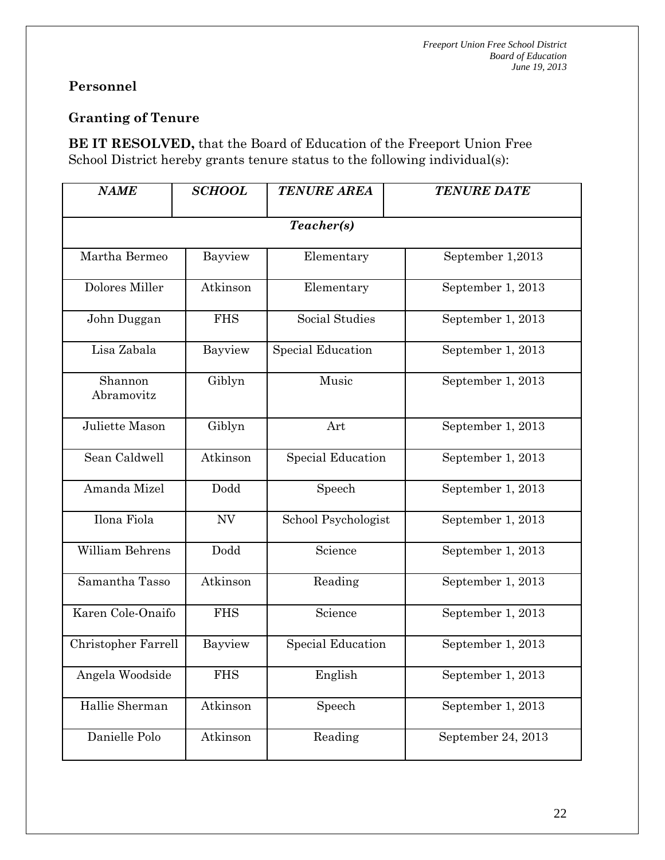# **Personnel**

# **Granting of Tenure**

**BE IT RESOLVED,** that the Board of Education of the Freeport Union Free School District hereby grants tenure status to the following individual(s):

| <b>NAME</b>           | <b>SCHOOL</b> | <b>TENURE AREA</b>       | <b>TENURE DATE</b> |
|-----------------------|---------------|--------------------------|--------------------|
|                       |               | Teacher(s)               |                    |
| Martha Bermeo         | Bayview       | Elementary               | September 1,2013   |
| Dolores Miller        | Atkinson      | Elementary               | September 1, 2013  |
| John Duggan           | <b>FHS</b>    | Social Studies           | September 1, 2013  |
| Lisa Zabala           | Bayview       | <b>Special Education</b> | September 1, 2013  |
| Shannon<br>Abramovitz | Giblyn        | Music                    | September 1, 2013  |
| Juliette Mason        | Giblyn        | Art                      | September 1, 2013  |
| Sean Caldwell         | Atkinson      | <b>Special Education</b> | September 1, 2013  |
| Amanda Mizel          | Dodd          | Speech                   | September 1, 2013  |
| Ilona Fiola           | NV            | School Psychologist      | September 1, 2013  |
| William Behrens       | Dodd          | Science                  | September 1, 2013  |
| Samantha Tasso        | Atkinson      | Reading                  | September 1, 2013  |
| Karen Cole-Onaifo     | <b>FHS</b>    | Science                  | September 1, 2013  |
| Christopher Farrell   | Bayview       | <b>Special Education</b> | September 1, 2013  |
| Angela Woodside       | <b>FHS</b>    | English                  | September 1, 2013  |
| Hallie Sherman        | Atkinson      | Speech                   | September 1, 2013  |
| Danielle Polo         | Atkinson      | Reading                  | September 24, 2013 |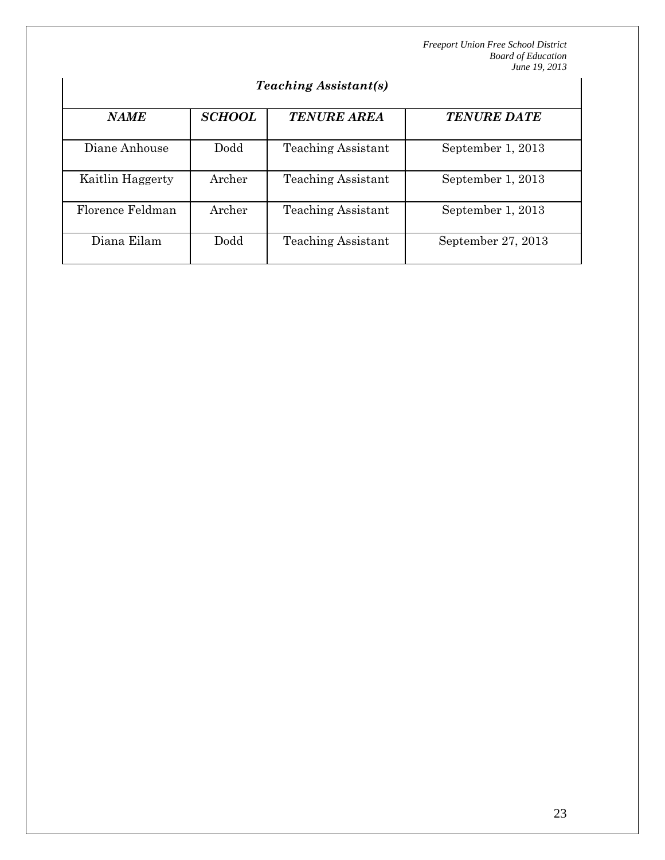# *Teaching Assistant(s)*

| <b>NAME</b>      | <b>SCHOOL</b> | <b>TENURE AREA</b>        | <b>TENURE DATE</b> |
|------------------|---------------|---------------------------|--------------------|
| Diane Anhouse    | Dodd          | <b>Teaching Assistant</b> | September 1, 2013  |
| Kaitlin Haggerty | Archer        | <b>Teaching Assistant</b> | September 1, 2013  |
| Florence Feldman | Archer        | <b>Teaching Assistant</b> | September 1, 2013  |
| Diana Eilam      | Dodd          | <b>Teaching Assistant</b> | September 27, 2013 |